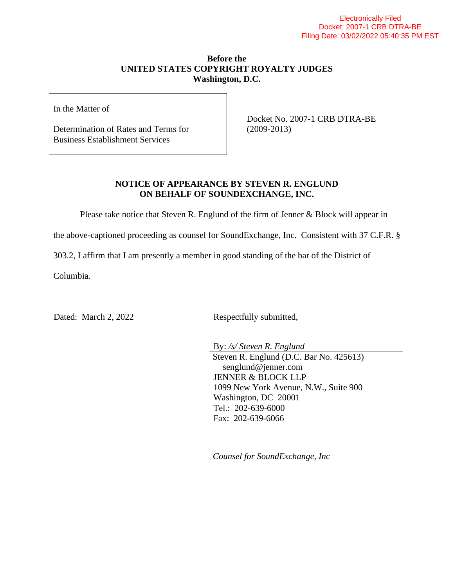## **Before the UNITED STATES COPYRIGHT ROYALTY JUDGES Washington, D.C.**

In the Matter of

Determination of Rates and Terms for Business Establishment Services

Docket No. 2007-1 CRB DTRA-BE (2009-2013)

## **NOTICE OF APPEARANCE BY STEVEN R. ENGLUND ON BEHALF OF SOUNDEXCHANGE, INC.**

Please take notice that Steven R. Englund of the firm of Jenner & Block will appear in

the above-captioned proceeding as counsel for SoundExchange, Inc. Consistent with 37 C.F.R. §

303.2, I affirm that I am presently a member in good standing of the bar of the District of

Columbia.

Dated: March 2, 2022 Respectfully submitted,

By: */s/ Steven R. Englund* Steven R. Englund (D.C. Bar No. 425613) senglund@jenner.com JENNER & BLOCK LLP 1099 New York Avenue, N.W., Suite 900 Washington, DC 20001 Tel.: 202-639-6000 Fax: 202-639-6066

*Counsel for SoundExchange, Inc*